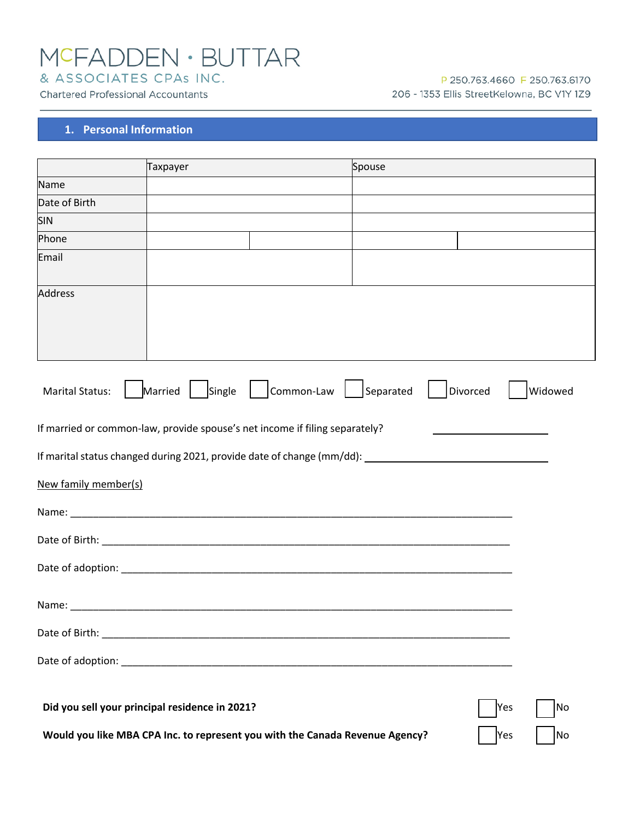# MCFADDEN · BUTTAR

& ASSOCIATES CPAs INC.

**Chartered Professional Accountants** 

#### P 250.763.4660 F 250.763.6170 206 - 1353 Ellis StreetKelowna, BC V1Y 1Z9

#### **1. Personal Information**

|                                                                                                      | Taxpayer          |            | Spouse    |          |         |
|------------------------------------------------------------------------------------------------------|-------------------|------------|-----------|----------|---------|
| Name                                                                                                 |                   |            |           |          |         |
| Date of Birth                                                                                        |                   |            |           |          |         |
| <b>SIN</b>                                                                                           |                   |            |           |          |         |
| Phone                                                                                                |                   |            |           |          |         |
| Email                                                                                                |                   |            |           |          |         |
| <b>Address</b>                                                                                       |                   |            |           |          |         |
| <b>Marital Status:</b>                                                                               | Married<br>Single | Common-Law | Separated | Divorced | Widowed |
| If married or common-law, provide spouse's net income if filing separately?                          |                   |            |           |          |         |
| If marital status changed during 2021, provide date of change (mm/dd): _____________________________ |                   |            |           |          |         |
| New family member(s)                                                                                 |                   |            |           |          |         |
|                                                                                                      |                   |            |           |          |         |
|                                                                                                      |                   |            |           |          |         |
|                                                                                                      |                   |            |           |          |         |
|                                                                                                      |                   |            |           |          |         |
|                                                                                                      |                   |            |           |          |         |
|                                                                                                      |                   |            |           |          |         |
| Did you sell your principal residence in 2021?                                                       |                   |            |           | Yes      | No      |
| Would you like MBA CPA Inc. to represent you with the Canada Revenue Agency?                         |                   |            |           | Yes      | No      |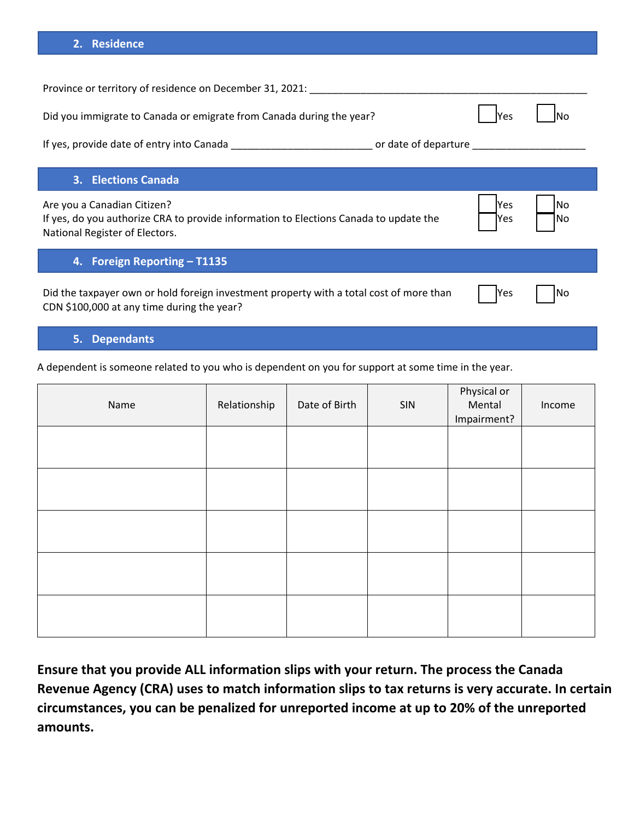#### **2. Residence**

| Province or territory of residence on December 31, 2021:                                                                                               |              |            |
|--------------------------------------------------------------------------------------------------------------------------------------------------------|--------------|------------|
| Did you immigrate to Canada or emigrate from Canada during the year?                                                                                   | lYes         |            |
|                                                                                                                                                        |              |            |
|                                                                                                                                                        |              |            |
| 3. Elections Canada                                                                                                                                    |              |            |
| Are you a Canadian Citizen?<br>If yes, do you authorize CRA to provide information to Elections Canada to update the<br>National Register of Electors. | lYes<br>lYes | lNo<br>lNo |
| 4. Foreign Reporting - T1135                                                                                                                           |              |            |
| Did the taxpayer own or hold foreign investment property with a total cost of more than<br>CDN \$100,000 at any time during the year?                  | lYes         | lNo        |

## **5. Dependants**

A dependent is someone related to you who is dependent on you for support at some time in the year.

| Name | Relationship | Date of Birth | $\mathsf{SIN}$ | Physical or<br>Mental<br>Impairment? | Income |
|------|--------------|---------------|----------------|--------------------------------------|--------|
|      |              |               |                |                                      |        |
|      |              |               |                |                                      |        |
|      |              |               |                |                                      |        |
|      |              |               |                |                                      |        |
|      |              |               |                |                                      |        |

**Ensure that you provide ALL information slips with your return. The process the Canada Revenue Agency (CRA) uses to match information slips to tax returns is very accurate. In certain circumstances, you can be penalized for unreported income at up to 20% of the unreported amounts.**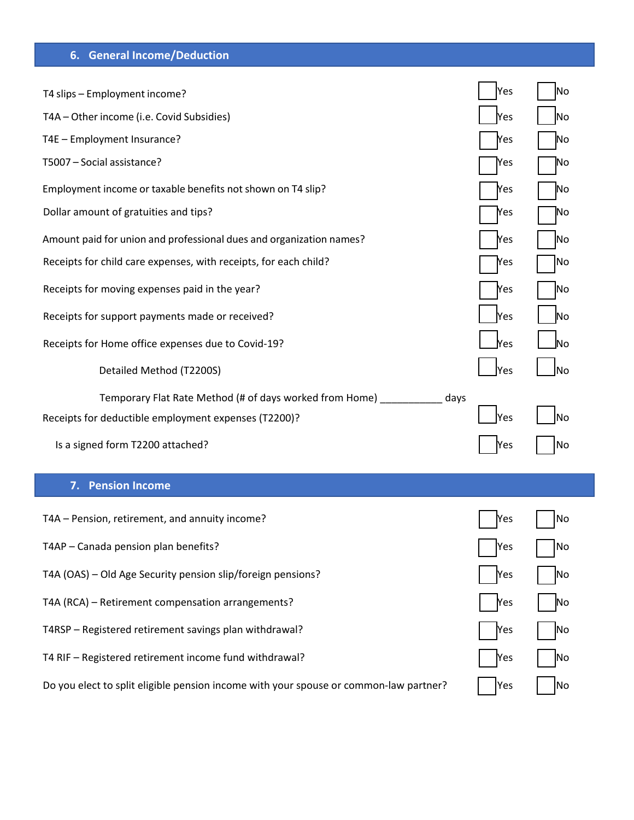## **6. General Income/Deduction**

| T4 slips - Employment income?                                       | Yes        | No             |
|---------------------------------------------------------------------|------------|----------------|
| T4A - Other income (i.e. Covid Subsidies)                           | Yes        | N <sub>o</sub> |
| T4E - Employment Insurance?                                         | Yes        | No             |
| T5007 - Social assistance?                                          | Yes        | No             |
| Employment income or taxable benefits not shown on T4 slip?         | Yes        | No             |
| Dollar amount of gratuities and tips?                               | <b>Nes</b> | No             |
| Amount paid for union and professional dues and organization names? | Yes        | No             |
| Receipts for child care expenses, with receipts, for each child?    | <b>Nes</b> | No             |
| Receipts for moving expenses paid in the year?                      | Yes        | No             |
| Receipts for support payments made or received?                     | Yes        | Νo             |
| Receipts for Home office expenses due to Covid-19?                  | <b>Yes</b> | lΝo            |
| Detailed Method (T2200S)                                            | <b>Yes</b> | lNo            |
|                                                                     |            |                |
| Temporary Flat Rate Method (# of days worked from Home)             | days       |                |
| Receipts for deductible employment expenses (T2200)?                | Yes        | No             |
| Is a signed form T2200 attached?                                    | Yes        | No             |
| 7. Pension Income                                                   |            |                |
| T4A - Pension, retirement, and annuity income?                      | Yes        | No             |
| T4AP - Canada pension plan benefits?                                | Yes        | No             |
| T4A (OAS) - Old Age Security pension slip/foreign pensions?         | Yes        | No             |
| T4A (RCA) - Retirement compensation arrangements?                   | Mes        | No             |
| T4RSP - Registered retirement savings plan withdrawal?              | Yes        | No             |
| T4 RIF - Registered retirement income fund withdrawal?              | Yes        | No             |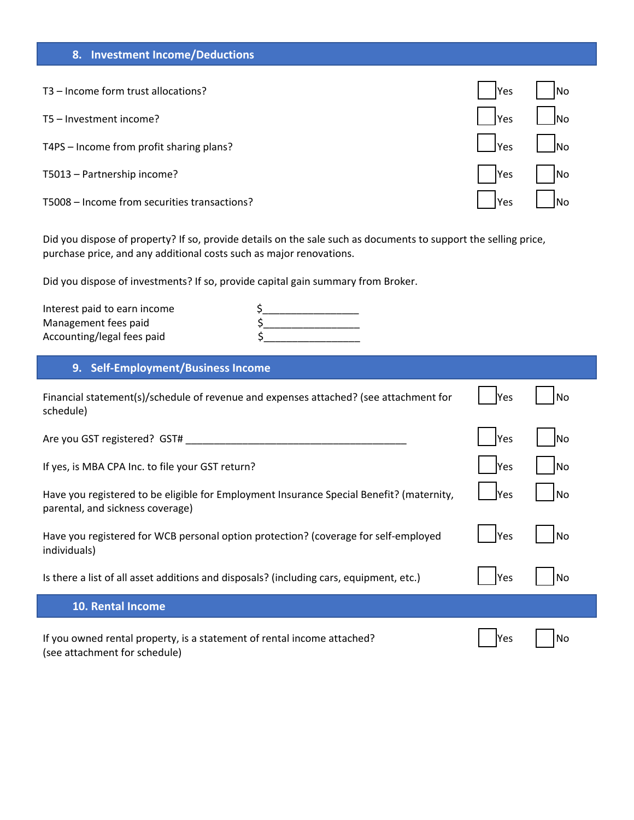## **8. Investment Income/Deductions**

| T3 – Income form trust allocations?          | <b>Yes</b>          | N <sub>O</sub>                            |
|----------------------------------------------|---------------------|-------------------------------------------|
| T5 - Investment income?                      | Yes                 | $\vert$ $\vert_{\text{No}}$               |
| T4PS – Income from profit sharing plans?     | $\vert$ $\vert$ Yes | $\vert$ $\vert_{\text{No}}$               |
| T5013 - Partnership income?                  | Yes                 | $\begin{bmatrix} 1 \\ 0 \end{bmatrix}$ No |
| T5008 - Income from securities transactions? | Yes                 | $\overline{\phantom{a}}$ No               |

Did you dispose of property? If so, provide details on the sale such as documents to support the selling price, purchase price, and any additional costs such as major renovations.

Did you dispose of investments? If so, provide capital gain summary from Broker.

| Interest paid to earn income |  |
|------------------------------|--|
| Management fees paid         |  |
| Accounting/legal fees paid   |  |

## **9. Self-Employment/Business Income**

| Financial statement(s)/schedule of revenue and expenses attached? (see attachment for<br>schedule)                           | <b>Yes</b>  | No |
|------------------------------------------------------------------------------------------------------------------------------|-------------|----|
| Are you GST registered? GST#                                                                                                 | Yes         | No |
| If yes, is MBA CPA Inc. to file your GST return?                                                                             | <b>Yes</b>  | No |
| Have you registered to be eligible for Employment Insurance Special Benefit? (maternity,<br>parental, and sickness coverage) | <b>Yes</b>  | No |
| Have you registered for WCB personal option protection? (coverage for self-employed<br>individuals)                          | lYes        | No |
| Is there a list of all asset additions and disposals? (including cars, equipment, etc.)                                      | <b>IYes</b> | No |
| <b>10. Rental Income</b>                                                                                                     |             |    |
| If you owned rental property, is a statement of rental income attached?<br>(see attachment for schedule)                     | <b>Yes</b>  | No |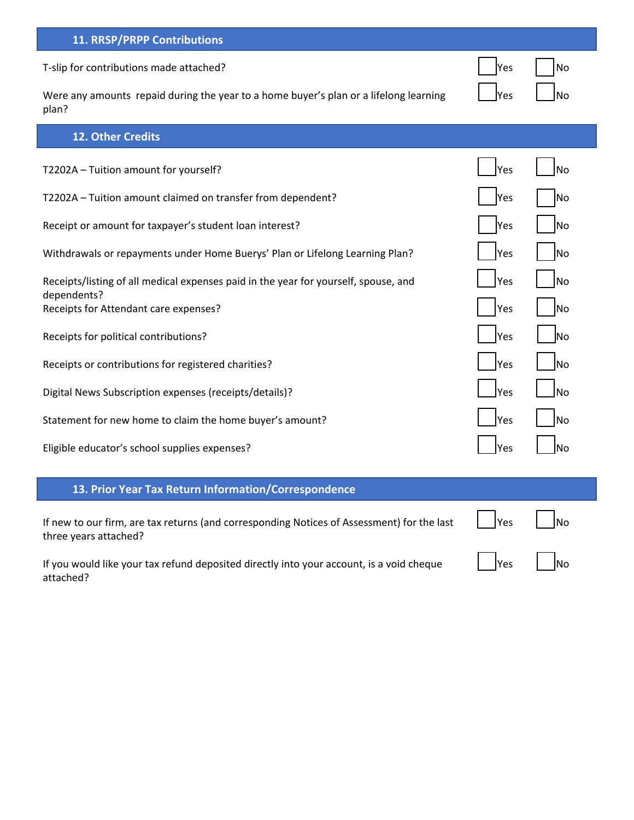| <b>11. RRSP/PRPP Contributions</b>                                                                 |              |             |
|----------------------------------------------------------------------------------------------------|--------------|-------------|
| T-slip for contributions made attached?                                                            | <b>Yes</b>   | No          |
| Were any amounts repaid during the year to a home buyer's plan or a lifelong learning<br>plan?     | <b>Yes</b>   | No          |
| 12. Other Credits                                                                                  |              |             |
| T2202A - Tuition amount for yourself?                                                              | Yes          | lNo         |
| T2202A - Tuition amount claimed on transfer from dependent?                                        | <b>Yes</b>   | lNo         |
| Receipt or amount for taxpayer's student loan interest?                                            | <b>Yes</b>   | lNo         |
| Withdrawals or repayments under Home Buerys' Plan or Lifelong Learning Plan?                       | lYes         | lNo         |
| Receipts/listing of all medical expenses paid in the year for yourself, spouse, and<br>dependents? | Yes          | No          |
| Receipts for Attendant care expenses?                                                              | Yes          | <b>No</b>   |
| Receipts for political contributions?                                                              | lYes         | lNo         |
| Receipts or contributions for registered charities?                                                | lYes         | INo         |
| Digital News Subscription expenses (receipts/details)?                                             | <b>I</b> Yes | lno         |
| Statement for new home to claim the home buyer's amount?                                           | Yes          | lNo         |
| Eligible educator's school supplies expenses?                                                      | Yes          | <b>I</b> No |
| 13. Prior Year Tax Return Information/Correspondence                                               |              |             |

| If new to our firm, are tax returns (and corresponding Notices of Assessment) for the last $ $   Yes       No<br>three years attached? |                                        |
|----------------------------------------------------------------------------------------------------------------------------------------|----------------------------------------|
| If you would like your tax refund deposited directly into your account, is a void cheque                                               | $\vert$ $\vert$ Yes $\vert$ $\vert$ No |

attached?